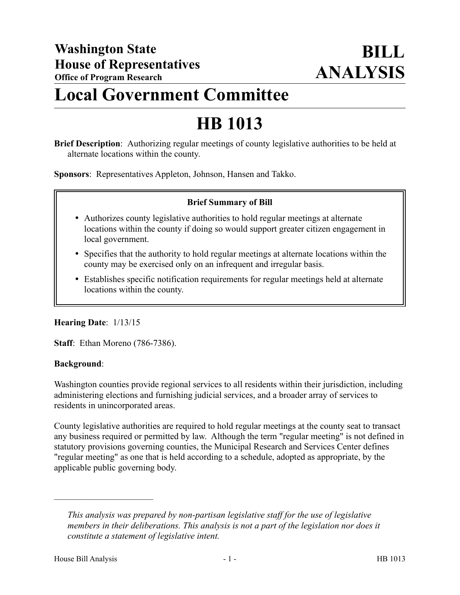# **Local Government Committee**

# **HB 1013**

**Brief Description**: Authorizing regular meetings of county legislative authorities to be held at alternate locations within the county.

**Sponsors**: Representatives Appleton, Johnson, Hansen and Takko.

## **Brief Summary of Bill**

- Authorizes county legislative authorities to hold regular meetings at alternate locations within the county if doing so would support greater citizen engagement in local government.
- Specifies that the authority to hold regular meetings at alternate locations within the county may be exercised only on an infrequent and irregular basis.
- Establishes specific notification requirements for regular meetings held at alternate locations within the county.

## **Hearing Date**: 1/13/15

**Staff**: Ethan Moreno (786-7386).

## **Background**:

Washington counties provide regional services to all residents within their jurisdiction, including administering elections and furnishing judicial services, and a broader array of services to residents in unincorporated areas.

County legislative authorities are required to hold regular meetings at the county seat to transact any business required or permitted by law. Although the term "regular meeting" is not defined in statutory provisions governing counties, the Municipal Research and Services Center defines "regular meeting" as one that is held according to a schedule, adopted as appropriate, by the applicable public governing body.

––––––––––––––––––––––

*This analysis was prepared by non-partisan legislative staff for the use of legislative members in their deliberations. This analysis is not a part of the legislation nor does it constitute a statement of legislative intent.*